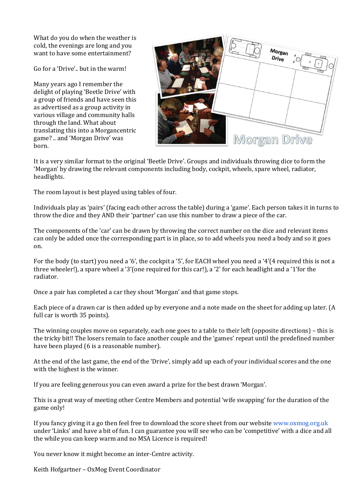What do you do when the weather is cold, the evenings are long and you want to have some entertainment?

Go for a 'Drive'.. but in the warm!

Many years ago I remember the delight of playing 'Beetle Drive' with a group of friends and have seen this as advertised as a group activity in various village and community halls through the land. What about translating this into a Morgancentric game? .. and 'Morgan Drive' was born.

| 0<br>Morgan<br>Drive<br>$\theta$<br>Ľ |
|---------------------------------------|
| Morgan Drive                          |

It is a very similar format to the original 'Beetle Drive'. Groups and individuals throwing dice to form the 'Morgan' by drawing the relevant components including body, cockpit, wheels, spare wheel, radiator, headlights.

The room layout is best played using tables of four.

Individuals play as 'pairs' (facing each other across the table) during a 'game'. Each person takes it in turns to throw the dice and they AND their 'partner' can use this number to draw a piece of the car.

The components of the 'car' can be drawn by throwing the correct number on the dice and relevant items can only be added once the corresponding part is in place, so to add wheels you need a body and so it goes on.

For the body (to start) you need a '6', the cockpit a '5', for EACH wheel you need a '4'(4 required this is not a three wheeler!), a spare wheel a '3'(one required for this car!), a '2' for each headlight and a '1'for the radiator.

Once a pair has completed a car they shout 'Morgan' and that game stops.

Each piece of a drawn car is then added up by everyone and a note made on the sheet for adding up later. (A full car is worth 35 points).

The winning couples move on separately, each one goes to a table to their left (opposite directions) – this is the tricky bit!! The losers remain to face another couple and the 'games' repeat until the predefined number have been played (6 is a reasonable number).

At the end of the last game, the end of the 'Drive', simply add up each of your individual scores and the one with the highest is the winner.

If you are feeling generous you can even award a prize for the best drawn 'Morgan'.

This is a great way of meeting other Centre Members and potential 'wife swapping' for the duration of the game only!

If you fancy giving it a go then feel free to download the score sheet from our website [www.oxmog.org.uk](http://www.oxmog.org.uk/) under 'Links' and have a bit of fun. I can guarantee you will see who can be 'competitive' with a dice and all the while you can keep warm and no MSA Licence is required!

You never know it might become an inter-Centre activity.

Keith Hofgartner – OxMog Event Coordinator